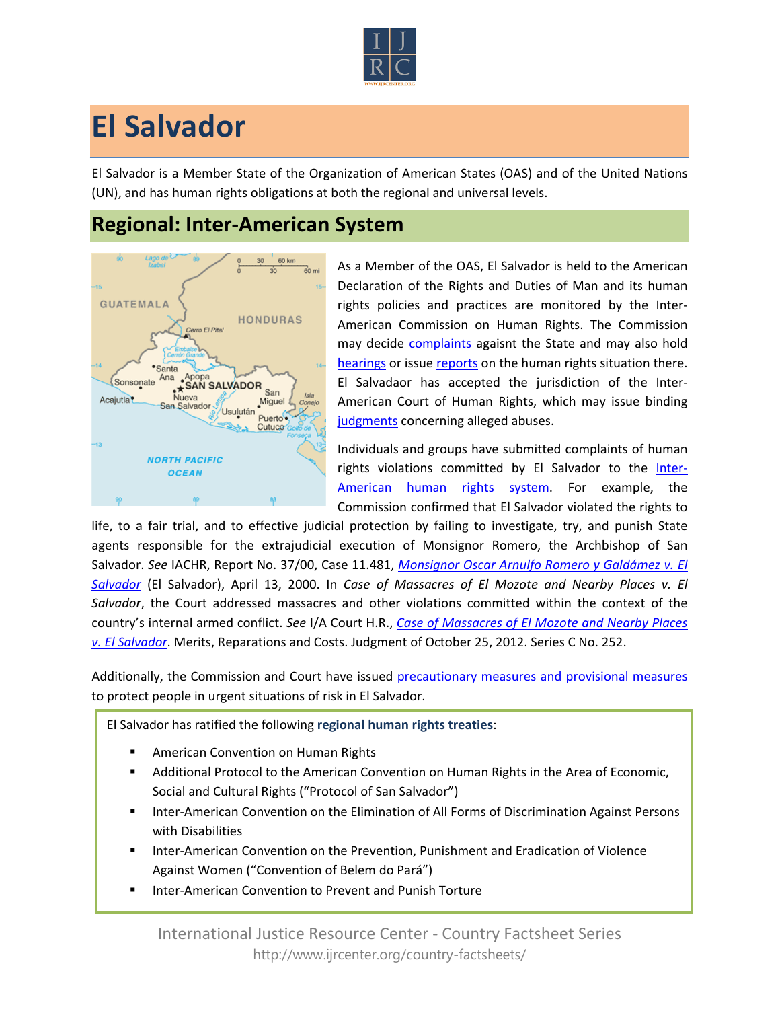

## **El Salvador**

El Salvador is a Member State of the Organization of American States (OAS) and of the United Nations (UN), and has human rights obligations at both the regional and universal levels.

## **Regional: Inter-American System**



As a Member of the OAS, El Salvador is held to the American Declaration of the Rights and Duties of Man and its human rights policies and practices are monitored by the Inter-American Commission on Human Rights. The Commission may decide [complaints](http://www.oas.org/en/iachr/decisions/merits.asp) agaisnt the State and may also hold [hearings](http://www.oas.org/es/cidh/audiencias/advanced.aspx?lang=en) or issue [reports](http://www.oas.org/en/iachr/reports/country.asp) on the human rights situation there. El Salvadaor has accepted the jurisdiction of the Inter-American Court of Human Rights, which may issue binding [judgments](http://www.corteidh.or.cr/cf/Jurisprudencia2/busqueda_casos_contenciosos.cfm?lang=en) concerning alleged abuses.

Individuals and groups have submitted complaints of human rights violations committed by El Salvador to the [Inter-](http://www.ijrcenter.org/regional/inter-american-system/)[American human rights system](http://www.ijrcenter.org/regional/inter-american-system/). For example, the Commission confirmed that El Salvador violated the rights to

life, to a fair trial, and to effective judicial protection by failing to investigate, try, and punish State agents responsible for the extrajudicial execution of Monsignor Romero, the Archbishop of San Salvador. *See* IACHR, Report No. 37/00, Case 11.481, *[Monsignor Oscar Arnulfo Romero y Galdámez v. El](http://cidh.org/annualrep/99eng/Merits/ElSalvador11.481.htm)  [Salvador](http://cidh.org/annualrep/99eng/Merits/ElSalvador11.481.htm)* (El Salvador), April 13, 2000. In *Case of Massacres of El Mozote and Nearby Places v. El Salvador*, the Court addressed massacres and other violations committed within the context of the country's internal armed conflict. *See* I/A Court H.R., *[Case of Massacres of El Mozote and Nearby Places](http://www.corteidh.or.cr/docs/casos/articulos/seriec_252_ing1.pdf)  [v. El Salvador](http://www.corteidh.or.cr/docs/casos/articulos/seriec_252_ing1.pdf)*. Merits, Reparations and Costs. Judgment of October 25, 2012. Series C No. 252.

Additionally, the Commission and Court have issued [precautionary measures](http://www.cidh.org/medidas/2009.eng.htm) and [provisional measures](http://www.corteidh.or.cr/cf/Jurisprudencia2/busqueda_medidas_provisionales.cfm?lang=en) to protect people in urgent situations of risk in El Salvador.

El Salvador has ratified the following **regional human rights treaties**:

- American Convention on Human Rights
- Additional Protocol to the American Convention on Human Rights in the Area of Economic, Social and Cultural Rights ("Protocol of San Salvador")
- Inter-American Convention on the Elimination of All Forms of Discrimination Against Persons with Disabilities
- Inter-American Convention on the Prevention, Punishment and Eradication of Violence Against Women ("Convention of Belem do Pará")
- **Inter-American Convention to Prevent and Punish Torture**